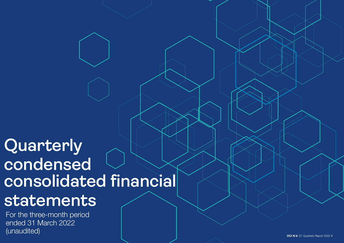# **Quarterly condensed consolidated financial**

## **statements**

For the three-month period ended 31 March 2022 (unaudited)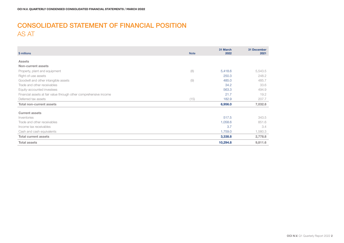### CONSOLIDATED STATEMENT OF FINANCIAL POSITION AS AT

| \$ millions                                                       | <b>Note</b> | 31 March<br>2022 | 31 December<br>2021 |
|-------------------------------------------------------------------|-------------|------------------|---------------------|
|                                                                   |             |                  |                     |
| <b>Assets</b>                                                     |             |                  |                     |
| Non-current assets                                                |             |                  |                     |
| Property, plant and equipment                                     | (8)         | 5,418.6          | 5,543.5             |
| Right-of-use assets                                               |             | 250.3            | 248.2               |
| Goodwill and other intangible assets                              | (9)         | 485.0            | 485.7               |
| Trade and other receivables                                       |             | 34.2             | 33.6                |
| Equity-accounted investees                                        |             | 563.3            | 494.9               |
| Financial assets at fair value through other comprehensive income |             | 21.7             | 19.2                |
| Deferred tax assets                                               | (15)        | 182.9            | 207.7               |
| <b>Total non-current assets</b>                                   |             | 6,956.0          | 7,032.8             |
| <b>Current assets</b>                                             |             |                  |                     |
| Inventories                                                       |             | 517.5            | 343.5               |
| Trade and other receivables                                       |             | 1,058.6          | 851.6               |
| Income tax receivables                                            |             | 3.7              | 3.4                 |
| Cash and cash equivalents                                         |             | 1,759.0          | 1,580.3             |
| <b>Total current assets</b>                                       |             | 3,338.8          | 2,778.8             |
| <b>Total assets</b>                                               |             | 10,294.8         | 9,811.6             |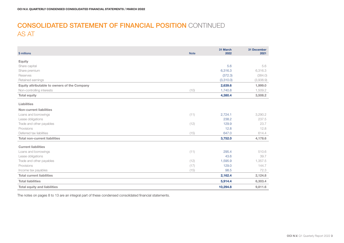### CONSOLIDATED STATEMENT OF FINANCIAL POSITION CONTINUED AS AT

| \$ millions                                  | <b>Note</b> | 31 March<br>2022 | 31 December<br>2021 |
|----------------------------------------------|-------------|------------------|---------------------|
| <b>Equity</b>                                |             |                  |                     |
| Share capital                                |             | 5.6              | 5.6                 |
| Share premium                                |             | 6,316.3          | 6,316.3             |
| Reserves                                     |             | (372.3)          | (384.0)             |
| Retained earnings                            |             | (3,310.0)        | (3,938.9)           |
| Equity attributable to owners of the Company |             | 2,639.6          | 1,999.0             |
| Non-controlling interests                    | (10)        | 1,740.8          | 1,509.2             |
| <b>Total equity</b>                          |             | 4,380.4          | 3,508.2             |
| Liabilities                                  |             |                  |                     |
| <b>Non-current liabilities</b>               |             |                  |                     |
| Loans and borrowings                         | (11)        | 2,724.1          | 3,290.2             |
| Lease obligations                            |             | 238.2            | 237.5               |
| Trade and other payables                     | (12)        | 129.9            | 23.7                |
| Provisions                                   |             | 12.8             | 12.8                |
| Deferred tax liabilities                     | (15)        | 647.0            | 614.4               |
| <b>Total non-current liabilities</b>         |             | 3,752.0          | 4,178.6             |
| <b>Current liabilities</b>                   |             |                  |                     |
| Loans and borrowings                         | (11)        | 295.4            | 510.6               |
| Lease obligations                            |             | 43.6             | 39.7                |
| Trade and other payables                     | (12)        | 1,595.9          | 1,357.5             |
| Provisions                                   | (17)        | 129.0            | 144.7               |
| Income tax payables                          | (15)        | 98.5             | 72.3                |
| <b>Total current liabilities</b>             |             | 2,162.4          | 2,124.8             |
| <b>Total liabilities</b>                     |             | 5,914.4          | 6,303.4             |
| <b>Total equity and liabilities</b>          |             | 10,294.8         | 9,811.6             |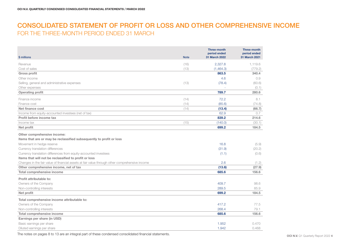### CONSOLIDATED STATEMENT OF PROFIT OR LOSS AND OTHER COMPREHENSIVE INCOME FOR THE THREE-MONTH PERIOD ENDED 31 MARCH

| \$ millions                                                                                                                                             | <b>Note</b> | <b>Three-month</b><br>period ended<br>31 March 2022 | <b>Three-month</b><br>period ended<br>31 March 2021 |
|---------------------------------------------------------------------------------------------------------------------------------------------------------|-------------|-----------------------------------------------------|-----------------------------------------------------|
| Revenue                                                                                                                                                 | (16)        | 2.327.8                                             | 1.119.6                                             |
| Cost of sales                                                                                                                                           | (13)        | (1,464.3)                                           | (779.2)                                             |
| <b>Gross profit</b>                                                                                                                                     |             | 863.5                                               | 340.4                                               |
| Other income                                                                                                                                            |             | 4.6                                                 | 0.9                                                 |
| Selling, general and administrative expenses                                                                                                            | (13)        | (78.4)                                              | (60.6)                                              |
| Other expenses                                                                                                                                          |             |                                                     | (0.1)                                               |
| <b>Operating profit</b>                                                                                                                                 |             | 789.7                                               | 280.6                                               |
| Finance income                                                                                                                                          | (14)        | 72.2                                                | 8.1                                                 |
| Finance cost                                                                                                                                            | (14)        | (85.6)                                              | (74.8)                                              |
| Net finance cost                                                                                                                                        | (14)        | (13.4)                                              | (66.7)                                              |
| Income from equity-accounted investees (net of tax)                                                                                                     |             | 62.9                                                | 0.7                                                 |
| Profit before income tax                                                                                                                                |             | 839.2                                               | 214.6                                               |
| Income tax                                                                                                                                              | (15)        | (140.0)                                             | (30.1)                                              |
| Net profit                                                                                                                                              |             | 699.2                                               | 184.5                                               |
| Other comprehensive income:<br>Items that are or may be reclassified subsequently to profit or loss                                                     |             |                                                     |                                                     |
| Movement in hedge reserve                                                                                                                               |             | 16.8                                                | (5.9)                                               |
| Currency translation differences                                                                                                                        |             | (31.9)                                              | (20.2)                                              |
| Currency translation differences from equity-accounted investees                                                                                        |             | (1.1)                                               | (0.6)                                               |
| Items that will not be reclassified to profit or loss<br>Changes in the fair value of financial assets at fair value through other comprehensive income |             | 2.6                                                 | (1.2)                                               |
| Other comprehensive income, net of tax                                                                                                                  |             | (13.6)                                              | (27.9)                                              |
| <b>Total comprehensive income</b>                                                                                                                       |             | 685.6                                               | 156.6                                               |
|                                                                                                                                                         |             |                                                     |                                                     |
| Profit attributable to:                                                                                                                                 |             |                                                     |                                                     |
| Owners of the Company                                                                                                                                   |             | 409.7                                               | 98.6                                                |
| Non-controlling interests                                                                                                                               |             | 289.5                                               | 85.9                                                |
| Net profit                                                                                                                                              |             | 699.2                                               | 184.5                                               |
| Total comprehensive income attributable to:                                                                                                             |             |                                                     |                                                     |
| Owners of the Company                                                                                                                                   |             | 417.2                                               | 77.5                                                |
| Non-controlling interests                                                                                                                               |             | 268.4                                               | 79.1                                                |
| Total comprehensive income                                                                                                                              |             | 685.6                                               | 156.6                                               |
| Earnings per share (in USD)                                                                                                                             |             |                                                     |                                                     |
| Basic earnings per share                                                                                                                                |             | 1.952                                               | 0.470                                               |
| Diluted earnings per share                                                                                                                              |             | 1.942                                               | 0.468                                               |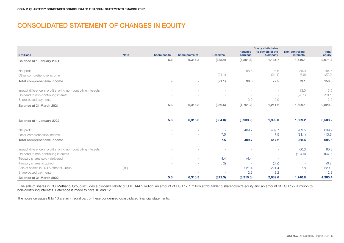### CONSOLIDATED STATEMENT OF CHANGES IN EQUITY

|                                                               |             |                          |               |                 | Retained   | <b>Equity attributable</b><br>to owners of the | Non-controlling          | <b>Total</b> |
|---------------------------------------------------------------|-------------|--------------------------|---------------|-----------------|------------|------------------------------------------------|--------------------------|--------------|
| \$ millions                                                   | <b>Note</b> | Share capital            | Share premium | <b>Reserves</b> | earnings   | Company                                        | interests                | equity       |
| Balance at 1 January 2021                                     |             | 5.6                      | 6,316.3       | (338.4)         | (4,851.8)  | 1,131.7                                        | 1,540.1                  | 2,671.8      |
| Net profit                                                    |             | $\sim$                   | $\sim$        |                 | 98.6       | 98.6                                           | 85.9                     | 184.5        |
| Other comprehensive income                                    |             | $\sim$                   | $\sim$        | (21.1)          | $\sim$     | (21.1)                                         | (6.8)                    | (27.9)       |
| Total comprehensive income                                    |             | $\overline{\phantom{0}}$ | $\sim$        | (21.1)          | 98.6       | 77.5                                           | 79.1                     | 156.6        |
| Impact difference in profit sharing non-controlling interests |             | $\sim$                   |               |                 |            | $\overline{\phantom{a}}$                       | 13.0                     | 13.0         |
| Dividend to non-controlling interest                          |             | $\sim$                   | $\sim$        | $\sim$          | -          |                                                | (23.1)                   | (23.1)       |
| Share-based payments                                          |             | $\sim$                   | $\sim$        | -               | 2.0        | 2.0                                            | $\overline{\phantom{a}}$ | 2.0          |
| Balance at 31 March 2021                                      |             | 5.6                      | 6,316.3       | (359.5)         | (4, 751.2) | 1,211.2                                        | 1,609.1                  | 2,820.3      |

| Balance at 1 January 2022                                     |      | 5.6    | 6,316.3   | (384.0)                  | (3,938.9)                | 1,999.0 | 1,509.2 | 3,508.2       |
|---------------------------------------------------------------|------|--------|-----------|--------------------------|--------------------------|---------|---------|---------------|
| Net profit                                                    |      |        |           | $\overline{\phantom{a}}$ | 409.7                    | 409.7   | 289.5   | 699.2         |
| Other comprehensive income                                    |      | $\sim$ | . .       | 7.5                      | ٠                        | 7.5     | (21.1)  | (13.6)        |
| Total comprehensive income                                    |      | $\sim$ | <b>м.</b> | 7.5                      | 409.7                    | 417.2   | 268.4   | 685.6         |
| Impact difference in profit sharing non-controlling interests |      | . .    |           |                          |                          |         | 60.3    | 60.3          |
| Dividend to non-controlling interests                         |      | . .    | . .       | . .                      | $\sim$                   | ۰       | (104.9) | (104.9)       |
| Treasury shares sold / delivered                              |      | $\sim$ |           | 4.4                      | (4.4)                    |         | $\sim$  |               |
| Treasury shares acquired                                      |      | $\sim$ |           | (0.2)                    | $\overline{\phantom{a}}$ | (0.2)   | $\sim$  | (0.2)         |
| Sale of shares in OCI Methanol Group <sup>1</sup>             | (10) | $\sim$ |           | $\overline{\phantom{a}}$ | 221.4                    | 221.4   | 7.8     | 229.2         |
| Share-based payments                                          |      | $\sim$ |           | $\overline{\phantom{a}}$ | 2.2                      | 2.2     | $\sim$  | $2.2^{\circ}$ |
| Balance at 31 March 2022                                      |      | 5.6    | 6.316.3   | (372.3)                  | (3,310.0)                | 2,639.6 | 1,740.8 | 4,380.4       |

<sup>1</sup>The sale of shares in OCI Methanol Group includes a dividend liability of USD 144.5 million; an amount of USD 17.1 million attributable to shareholder's equity and an amount of USD 127.4 million to non-controlling interests. Reference is made to note 10 and 12.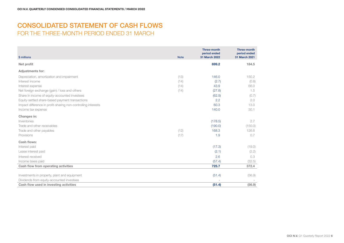### CONSOLIDATED STATEMENT OF CASH FLOWS FOR THE THREE-MONTH PERIOD ENDED 31 MARCH

| \$ millions                                                   | <b>Note</b> | <b>Three-month</b><br>period ended<br>31 March 2022 | <b>Three-month</b><br>period ended<br>31 March 2021 |
|---------------------------------------------------------------|-------------|-----------------------------------------------------|-----------------------------------------------------|
| Net profit                                                    |             | 699.2                                               | 184.5                                               |
| <b>Adjustments for:</b>                                       |             |                                                     |                                                     |
| Depreciation, amortization and impairment                     | (13)        | 146.0                                               | 150.2                                               |
| Interest income                                               | (14)        | (2.7)                                               | (0.8)                                               |
| Interest expense                                              | (14)        | 43.9                                                | 66.0                                                |
| Net foreign exchange (gain) / loss and others                 | (14)        | (27.8)                                              | 1.5                                                 |
| Share in income of equity-accounted investees                 |             | (62.9)                                              | (0.7)                                               |
| Equity-settled share-based payment transactions               |             | 2.2                                                 | 2.0                                                 |
| Impact difference in profit-sharing non-controlling interests |             | 60.3                                                | 13.0                                                |
| Income tax expense                                            |             | 140.0                                               | 30.1                                                |
| Changes in:                                                   |             |                                                     |                                                     |
| Inventories                                                   |             | (178.5)                                             | 2.7                                                 |
| Trade and other receivables                                   |             | (190.0)                                             | (150.0)                                             |
| Trade and other payables                                      | (12)        | 168.3                                               | 126.6                                               |
| Provisions                                                    | (17)        | 1.9                                                 | 0.7                                                 |
| Cash flows:                                                   |             |                                                     |                                                     |
| Interest paid                                                 |             | (17.3)                                              | (19.0)                                              |
| Lease interest paid                                           |             | (2.1)                                               | (2.2)                                               |
| Interest received                                             |             | 2.6                                                 | 0.3                                                 |
| Income taxes paid                                             |             | (57.4)                                              | (32.5)                                              |
| Cash flow from operating activities                           |             | 725.7                                               | 372.4                                               |
|                                                               |             |                                                     |                                                     |
| Investments in property, plant and equipment                  |             | (51.4)                                              | (56.9)                                              |
| Dividends from equity-accounted investees                     |             |                                                     |                                                     |
| Cash flow used in investing activities                        |             | (51.4)                                              | (56.9)                                              |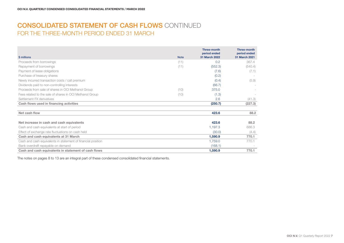### CONSOLIDATED STATEMENT OF CASH FLOWS CONTINUED FOR THE THREE-MONTH PERIOD ENDED 31 MARCH

|                                                              |             | <b>Three-month</b><br>period ended | <b>Three-month</b><br>period ended |
|--------------------------------------------------------------|-------------|------------------------------------|------------------------------------|
| \$ millions                                                  | <b>Note</b> | 31 March 2022                      | 31 March 2021                      |
| Proceeds from borrowings                                     | (11)        | 0.2                                | 367.4                              |
| Repayment of borrowings                                      | (11)        | (552.3)                            | (540.4)                            |
| Payment of lease obligations                                 |             | (7.6)                              | (7.1)                              |
| Purchase of treasury shares                                  |             | (0.2)                              |                                    |
| Newly incurred transaction costs / call premium              |             | (0.4)                              | (5.9)                              |
| Dividends paid to non-controlling interests                  |             | (66.7)                             |                                    |
| Proceeds from sale of shares in OCI Methanol Group           | (10)        | 375.0                              |                                    |
| Fees related to the sale of shares in OCI Methanol Group     | (10)        | (1.3)                              |                                    |
| Settlement FX derivatives                                    |             | 2.6                                | (41.3)                             |
| Cash flows used in financing activities                      |             | (250.7)                            | (227.3)                            |
| Net cash flow                                                |             | 423.6                              | 88.2                               |
| Net increase in cash and cash equivalents                    |             | 423.6                              | 88.2                               |
| Cash and cash equivalents at start of period                 |             | 1,197.3                            | 686.3                              |
| Effect of exchange rate fluctuations on cash held            |             | (30.0)                             | (4.4)                              |
| Cash and cash equivalents at 31 March                        |             | 1,590.9                            | 770.1                              |
| Cash and cash equivalents in statement of financial position |             | 1,759.0                            | 770.1                              |
| Bank overdraft repayable on demand                           |             | (168.1)                            |                                    |
| Cash and cash equivalents in statement of cash flows         |             | 1,590.9                            | 770.1                              |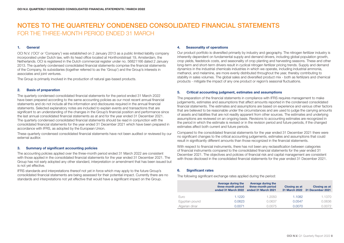#### 1. General

OCI N.V. ('OCI' or 'Company') was established on 2 January 2013 as a public limited liability company incorporated under Dutch law, with its head office located at Honthorststraat 19, Amsterdam, the Netherlands. OCI is registered in the Dutch commercial register under no. 56821166 dated 2 January 2013. The quarterly condensed consolidated financial statements comprise the financial statements of the Company, its subsidiaries (together referred to as the 'Group') and the Group's interests in associates and joint ventures.

The Group is primarily involved in the production of natural gas-based products.

#### 2. Basis of preparation

The quarterly condensed consolidated financial statements for the period ended 31 March 2022 have been prepared according to the same accounting policies as our most recent annual financial statements and do not include all the information and disclosures required in the annual financial statements. Selected explanatory notes are included to explain events and transactions that are significant to an understanding of the changes in the Group's financial position and performance since the last annual consolidated financial statements as at and for the year ended 31 December 2021. The quarterly condensed consolidated financial statements should be read in conjunction with the consolidated financial statements for the year ended 31 December 2021 which have been prepared in accordance with IFRS, as adopted by the European Union.

These quarterly condensed consolidated financial statements have not been audited or reviewed by our external auditor.

#### 3. Summary of significant accounting policies

The accounting policies applied over the three-month period ended 31 March 2022 are consistent with those applied in the consolidated financial statements for the year ended 31 December 2021. The Group has not early adopted any other standard, interpretation or amendment that has been issued but is not yet effective.

IFRS standards and interpretations thereof not yet in force which may apply to the future Group's consolidated financial statements are being assessed for their potential impact. Currently there are no standards and interpretations not yet effective that would have a significant impact on the Group.

#### 4. Seasonality of operations

Our product portfolio is diversified primarily by industry and geography. The nitrogen fertilizer industry is inherently dependent on fundamental supply and demand drivers, including global population growth, crop yields, feedstock costs, and seasonality of crop planting and harvesting seasons. These and other long-term and short-term drivers result in cyclical nitrogen fertilizer pricing trends. Supply and demand dynamics in the industrial chemicals industries in which we operate, including industrial ammonia, methanol, and melamine, are more evenly distributed throughout the year, thereby contributing to stability in sales volumes. The global sales and diversified product mix - both as fertilizers and chemical products - mitigate the impact of any one product or region's seasonal fluctuations.

#### 5. Critical accounting judgment, estimates and assumptions

The preparation of the financial statements in compliance with IFRS requires management to make judgements, estimates and assumptions that affect amounts reported in the condensed consolidated financial statements. The estimates and assumptions are based on experience and various other factors that are believed to be reasonable under the circumstances and are used to judge the carrying amounts of assets and liabilities that are not readily apparent from other sources. The estimates and underlying assumptions are reviewed on an ongoing basis. Revisions to accounting estimates are recognized in the period in which the estimate is revised or in the revision period and future periods, if the changed estimates affect both current and future periods.

Compared to the consolidated financial statements for the year ended 31 December 2021 there were no significant changes to the critical accounting judgements, estimates and assumptions that could result in significantly different amounts than those recognized in the financial statements.

With respect to financial instruments, there has not been any reclassification between categories of financial instruments compared to the consolidated financial statements for the year ended 31 December 2021. The objectives and policies of financial risk and capital management are consistent with those disclosed in the consolidated financial statements for the year ended 31 December 2021.

#### 6. Significant rates

The following significant exchange rates applied during the period:

|                | Average during the<br>three-month period<br>ended 31 March 2022 | Average during the<br>three-month period<br>ended 31 March 2021 | <b>Closing as at</b> | <b>Closing as at</b><br>31 March 2022 31 December 2021 |
|----------------|-----------------------------------------------------------------|-----------------------------------------------------------------|----------------------|--------------------------------------------------------|
| Euro           | 1.1220                                                          | 1.2050                                                          | 1.1082               | 1.1370                                                 |
| Egyptian pound | 0.0623                                                          | 0.0637                                                          | 0.0547               | 0.0636                                                 |
| Algerian dinar | 0.0071                                                          | 0.0075                                                          | 0.0070               | 0.0072                                                 |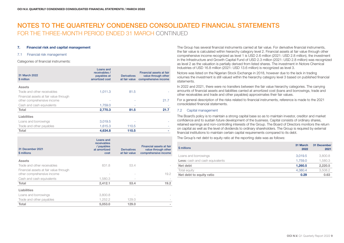#### 7. Financial risk and capital management

#### 7.1 Financial risk management

#### Categories of financial instruments:

| Loans and<br>receivables /<br>payables at<br>amortized cost | <b>Derivatives</b><br>at fair value | Financial assets at fair<br>value through other<br>comprehensive income |
|-------------------------------------------------------------|-------------------------------------|-------------------------------------------------------------------------|
|                                                             |                                     |                                                                         |
| 1,011.3                                                     | 81.5                                |                                                                         |
|                                                             |                                     |                                                                         |
|                                                             |                                     | 21.7                                                                    |
| 1,759.0                                                     |                                     |                                                                         |
| 2,770.3                                                     | 81.5                                | 21.7                                                                    |
|                                                             |                                     |                                                                         |
| 3,019.5                                                     |                                     |                                                                         |
| 1,615.3                                                     | 110.5                               |                                                                         |
| 4,634.8                                                     | 110.5                               |                                                                         |
|                                                             |                                     |                                                                         |

| <b>Assets</b><br>Trade and other receivables<br>831.8<br>53.4<br>Financial assets at fair value through<br>other comprehensive income<br>1,580.3<br>Cash and cash equivalents<br>2,412.1<br>Total<br>53.4<br>Liabilities<br>3,800.8<br>Loans and borrowings<br>1,252.2<br>Trade and other payables<br>129.0<br>Total<br>5.053.0<br>129.0 | 31 December 2021<br>\$ millions | Loans and<br>receivables<br>/ payables<br>at amortized<br>cost | <b>Derivatives</b><br>at fair value | Financial assets at fair<br>value through other<br>comprehensive income |
|------------------------------------------------------------------------------------------------------------------------------------------------------------------------------------------------------------------------------------------------------------------------------------------------------------------------------------------|---------------------------------|----------------------------------------------------------------|-------------------------------------|-------------------------------------------------------------------------|
|                                                                                                                                                                                                                                                                                                                                          |                                 |                                                                |                                     |                                                                         |
|                                                                                                                                                                                                                                                                                                                                          |                                 |                                                                |                                     |                                                                         |
|                                                                                                                                                                                                                                                                                                                                          |                                 |                                                                |                                     | 19.2                                                                    |
|                                                                                                                                                                                                                                                                                                                                          |                                 |                                                                |                                     |                                                                         |
|                                                                                                                                                                                                                                                                                                                                          |                                 |                                                                |                                     | 19.2                                                                    |
|                                                                                                                                                                                                                                                                                                                                          |                                 |                                                                |                                     |                                                                         |
|                                                                                                                                                                                                                                                                                                                                          |                                 |                                                                |                                     |                                                                         |
|                                                                                                                                                                                                                                                                                                                                          |                                 |                                                                |                                     |                                                                         |
|                                                                                                                                                                                                                                                                                                                                          |                                 |                                                                |                                     |                                                                         |

The Group has several financial instruments carried at fair value. For derivative financial instruments, the fair value is calculated within hierarchy category level 2. Financial assets at fair value through other comprehensive income recognized as level 1 is USD 2.6 million (2021: USD 2.8 million), the investment in the Infrastructure and Growth Capital Fund of USD 2.3 million (2021: USD 2.8 million) was recognized as level 2 as the valuation is partially derived from listed shares. The investment in Notore Chemical Industries of USD 16.8 million (2021: USD 13.6 million) is recognized as level 3.

Notore was listed on the Nigerian Stock Exchange in 2018, however due to the lack in trading volumes the investment is still valued within the hierarchy category level 3 based on published financial statements.

In 2022 and 2021, there were no transfers between the fair value hierarchy categories. The carrying amounts of financial assets and liabilities carried at amortized cost (loans and borrowings, trade and other receivables and trade and other payables) approximates their fair values.

For a general description of the risks related to financial instruments, reference is made to the 2021 consolidated financial statements.

#### 7.2 Capital management

The Board's policy is to maintain a strong capital base so as to maintain investor, creditor and market confidence and to sustain future development of the business. Capital consists of ordinary shares, retained earnings and non-controlling interests of the Group. The Board of Directors monitors the return on capital as well as the level of dividends to ordinary shareholders. The Group is required by external financial institutions to maintain certain capital requirements compared to its debt.

The Group's net debt to equity ratio at the reporting date was as follows:

| \$ millions                            | 31 March<br>2022 | 31 December<br>2021 |
|----------------------------------------|------------------|---------------------|
| Loans and borrowings                   | 3.019.5          | 3,800.8             |
| <b>Less:</b> cash and cash equivalents | 1.759.0          | 1,580.3             |
| Net debt                               | 1.260.5          | 2,220.5             |
| Total equity                           | 4.380.4          | 3,508.2             |
| Net debt to equity ratio               | 0.29             | 0.63                |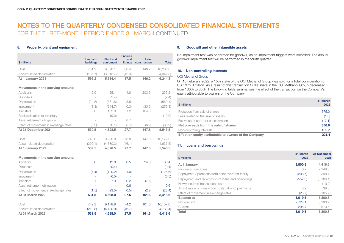#### 8. Property, plant and equipment

| \$ millions                          | <b>Land and</b><br>buildings | <b>Plant and</b><br>equipment | <b>Fixtures</b><br>and<br>fittings | <b>Under</b><br>construction | <b>Total</b> |
|--------------------------------------|------------------------------|-------------------------------|------------------------------------|------------------------------|--------------|
| Cost                                 | 751.9                        | 9,328.1                       | 60.4                               | 146.2                        | 10,286.6     |
| Accumulated depreciation             | (185.7)                      | (3,813.7)                     | (42.9)                             | $\sim$                       | (4,042.3)    |
| At 1 January 2021                    | 566.2                        | 5,514.4                       | 17.5                               | 146.2                        | 6,244.3      |
| Movements in the carrying amount:    |                              |                               |                                    |                              |              |
| <b>Additions</b>                     | 2.0                          | 25.1                          | 4.8                                | 203.3                        | 235.2        |
| <b>Disposals</b>                     | $\overline{\phantom{a}}$     | (2.4)                         | $\overline{\phantom{a}}$           |                              | (2.4)        |
| Depreciation                         | (24.8)                       | (531.8)                       | (3.5)                              | $\sim$                       | (560.1)      |
| Impairment                           | (1.3)                        | (244.7)                       | (0.3)                              | (30.0)                       | (276.3)      |
| Transfers                            | 0.6                          | 163.0                         | 1.2                                | (164.8)                      |              |
| Reclassification to inventory        |                              | (19.0)                        | $\overline{\phantom{a}}$           |                              | (19.0)       |
| Asset retirement obligation          |                              | $\overline{\phantom{a}}$      | 8.7                                |                              | 8.7          |
| Effect of movement in exchange rates | (3.2)                        | (76.1)                        | (0.7)                              | (6.9)                        | (86.9)       |
| At 31 December 2021                  | 539.5                        | 4,828.5                       | 27.7                               | 147.8                        | 5,543.5      |
| Cost                                 | 748.6                        | 9,208.8                       | 73.8                               | 147.8                        | 10,179.0     |
| Accumulated depreciation             | (209.1)                      | (4,380.3)                     | (46.1)                             |                              | (4,635.5)    |
| At 1 January 2022                    | 539.5                        | 4,828.5                       | 27.7                               | 147.8                        | 5,543.5      |
| Movements in the carrying amount:    |                              |                               |                                    |                              |              |
| <b>Additions</b>                     | 0.8                          | 12.8                          | 0.5                                | 24.3                         | 38.4         |
| <b>Disposals</b>                     | $\overline{\phantom{a}}$     | (0.4)                         | ÷,                                 |                              | (0.4)        |
| Depreciation                         | (7.4)                        | (120.2)                       | (1.0)                              |                              | (128.6)      |
| Impairment                           |                              | (6.5)                         | ä,                                 |                              | (6.5)        |
| <b>Transfers</b>                     | 0.1                          | 7.3                           | 0.2                                | (7.6)                        |              |
| Asset retirement obligation          | ÷.                           | ÷.                            | 0.6                                |                              | 0.6          |
| Effect of movement in exchange rates | (1.5)                        | (23.5)                        | (0.5)                              | (2.9)                        | (28.4)       |
| <b>At 31 March 2022</b>              | 531.5                        | 4,698.0                       | 27.5                               | 161.6                        | 5,418.6      |
|                                      |                              |                               |                                    |                              |              |
| Cost                                 | 742.3                        | 9,178.9                       | 74.2                               | 161.6                        | 10,157.0     |
| Accumulated depreciation             | (210.8)                      | (4,480.9)                     | (46.7)                             |                              | (4,738.4)    |
| <b>At 31 March 2022</b>              | 531.5                        | 4,698.0                       | 27.5                               | 161.6                        | 5,418.6      |

#### 9. Goodwill and other intangible assets

No impairment test was performed for goodwill, as no impairment triggers were identified. The annual goodwill impairment test will be performed in the fourth quarter.

#### 10. Non-controlling interests

#### OCI Methanol Group

On 18 February 2022, a 15% stake of the OCI Methanol Group was sold for a total consideration of USD 375.0 million. As a result of this transaction OCI's share in the OCI Methanol Group decreased from 100% to 85%. The following table summarises the effect of the transaction on the Company's equity attributable to owners of the Company:

| \$ millions                                            | 31 March<br>2022 |
|--------------------------------------------------------|------------------|
| Proceeds from sale of shares                           | 375.0            |
| Fees related to the sale of shares                     | (1.3)            |
| Fair value of earn-out consideration                   | (17.1)           |
| Net proceeds from the sale of shares                   | 356.6            |
| Non-controlling interests                              | 135.2            |
| Effect on equity attributable to owners of the Company | 221.4            |

#### 11. Loans and borrowings

| \$ millions                                         | 31 March<br>2022 | 31 December<br>2021 |
|-----------------------------------------------------|------------------|---------------------|
| At 1 January                                        | 3,800.8          | 4,416.6             |
| Proceeds from loans                                 | 0.2              | 2.248.3             |
| Repayment / proceeds from bank overdraft facility   | (208.7)          | 398.4               |
| Repayment and redemption of loans and borrowings    | (552.3)          | (3, 186.1)          |
| Newly incurred transaction costs                    |                  | (10.0)              |
| Amortization of transaction costs / (bond) premiums | 5.2              | 39.3                |
| Effect of movement in exchange rates                | (25.7)           | (105.7)             |
| <b>Balance</b> at                                   | 3,019.5          | 3,800.8             |
| Non-current                                         | 2,724.1          | 3.290.2             |
| Current                                             | 295.4            | 510.6               |
| Total                                               | 3,019.5          | 3,800.8             |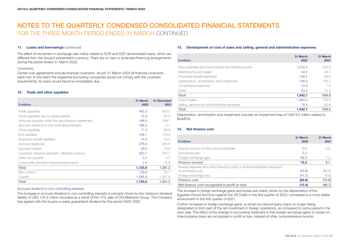#### 11. Loans and borrowings (continued)

The effect of movement in exchange rate mainly relates to EUR and DZD denominated loans, which are different from the Group's presentation currency. There are no new or amended financing arrangements during the period ended 31 March 2022.

#### **Covenants**

Certain loan agreements include financial covenants. As per 31 March 2022 all financial covenants were met. In the event the respective borrowing companies would not comply with the covenant requirements, its loans would become immediately due.

#### 12. Trade and other payables

| \$ millions                                        | 31 March<br>2022 | <b>31 December</b><br>2021 |
|----------------------------------------------------|------------------|----------------------------|
| Trade payables                                     | 442.3            | 425.3                      |
| Trade payables due to related parties              | 75.8             | 87.9                       |
| Amounts payable under the securitization agreement | 186.6            | 149.7                      |
| Accrued dividend to non-controlling interests      | 186.3            | 4.1                        |
| Other payables                                     | 77.3             | 66.9                       |
| EUA liabilities                                    | 108.1            | 116.2                      |
| Employee benefit liabilities                       | 14.3             | 14.5                       |
| Accrued expenses                                   | 278.8            | 264.9                      |
| Accrued interest                                   | 28.6             | 10.9                       |
| Customer advance payment / deferred revenue        | 320.1            | 222.7                      |
| Other tax payable                                  | 5.2              | 5.3                        |
| Commodity derivative financial instruments         | 2.4              | 12.8                       |
| Total                                              | 1,725.8          | 1,381.2                    |
| Non-current                                        | 129.9            | 23.7                       |
| Current                                            | 1,595.9          | 1,357.5                    |
| Total                                              | 1,725.8          | 1,381.2                    |

#### Accrued dividend to non-controlling interests

The increase in accrued dividend to non-controlling interests is primarily driven by the minimum dividend liability of USD 144.5 million recorded as a result of the 15% sale of OCI Methanol Group. The Company has agreed with the buyers a yearly guaranteed dividend for the period 2022-2025.

#### 13. Development of cost of sales and selling, general and administrative expenses

| \$ millions                                      | 31 March<br>2022 | 31 March<br>2021 |
|--------------------------------------------------|------------------|------------------|
| Raw materials and consumables and finished goods | 1,212.4          | 533.0            |
| Maintenance and repair                           | 44.2             | 35.7             |
| Employee benefit expenses                        | 106.2            | 98.6             |
| Depreciation, amortization and impairment        | 146.0            | 150.2            |
| Consultancy expenses                             | 10.4             | 7.4              |
| Other                                            | 23.5             | 14.9             |
| Total                                            | 1.542.7          | 839.8            |
| Cost of sales                                    | 1.464.3          | 779.2            |
| Selling, general and administrative expenses     | 78.4             | 60.6             |
| Total                                            | 1,542.7          | 839.8            |

Depreciation, amortization and impairment includes an impairment loss of USD 6.5 million related to BioMCN.

#### 14. Net finance cost

| \$ millions                                                                  | 31 March<br>2022 | 31 March<br>2021 |
|------------------------------------------------------------------------------|------------------|------------------|
| Interest income on loans and receivables                                     | 0.5              | 0.8              |
| Derivatives gain                                                             | 2.2              |                  |
| Foreign exchange gain                                                        | 69.5             | 7.3              |
| <b>Finance income</b>                                                        | 72.2             | 8.1              |
| Interest expense and other financing costs on financial liabilities measured |                  |                  |
| at amortized cost                                                            | (43.9)           | (66.0)           |
| Foreign exchange loss                                                        | (41.7)           | (8.8)            |
| <b>Finance cost</b>                                                          | (85.6)           | (74.8)           |
| Net finance cost recognized in profit or loss                                | (13.4)           | (66.7)           |

The increase in foreign exchange gains and losses are mainly driven by the depreciation of the Egyptian Pound and Euro against the US Dollar in the first quarter of 2022, compared to a more stable environment in the first quarter of 2021.

Further increases to foreign exchange gains, is driven by intercompany loans no longer being designated to form part of the net investment in foreign operations, as compared to same period in the prior year. The effect of the change in accounting treatment is that foreign exchange gains or losses on intercompany loans are recognised in profit or loss, instead of other comprehensive income.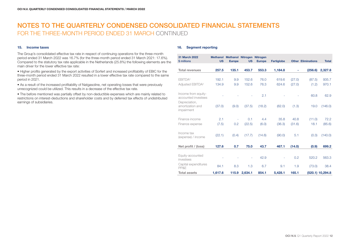#### 15. Income taxes

The Group's consolidated effective tax rate in respect of continuing operations for the three-month period ended 31 March 2022 was 16.7% (for the three-month period ended 31 March 2021: 17.6%). Compared to the statutory tax rate applicable in the Netherlands (25.8%) the following elements are the main driver for the lower effective tax rate:

• Higher profits generated by the export activities of Sorfert and increased profitability of EBIC for the three-month period ended 31 March 2022 resulted in a lower effective tax rate compared to the same period in 2021.

• As a result of the increased profitability of Natgasoline, net operating losses that were previously unrecognized could be utilized. This results in a decrease of the effective tax rate.

• The before mentioned was partially offset by non-deductible expenses which are mainly related to restrictions on interest-deductions and shareholder costs and by deferred tax effects of undistributed earnings of subsidiaries.

#### 16. Segment reporting

| 31 March 2022<br>\$ millions         | <b>US</b> | Methanol Methanol Nitrogen Nitrogen<br><b>Europe</b> | <b>US</b> | <b>Europe</b> | Fertiglobe |        | <b>Other Eliminations</b> | <b>Total</b>     |
|--------------------------------------|-----------|------------------------------------------------------|-----------|---------------|------------|--------|---------------------------|------------------|
|                                      |           |                                                      |           |               |            |        |                           |                  |
| <b>Total revenues</b>                | 257.5     | 135.1                                                | 453.7     | 553.3         | 1,184.8    | ÷      | (256.6)                   | 2,327.8          |
|                                      |           |                                                      |           |               |            |        |                           |                  |
| EBITDA <sup>2</sup>                  | 192.1     | 9.9                                                  | 152.6     | 76.0          | 619.6      | (27.0) | (87.5)                    | 935.7            |
| Adjusted EBITDA <sup>2</sup>         | 134.9     | 9.9                                                  | 152.6     | 76.3          | 624.6      | (27.0) | (1.2)                     | 970.1            |
|                                      |           |                                                      |           |               |            |        |                           |                  |
| Income from equity-                  |           |                                                      |           | 2.1           |            |        | 60.8                      | 62.9             |
| accounted investees<br>Depreciation, |           |                                                      |           |               |            |        |                           |                  |
| amortization and                     | (37.0)    | (9.0)                                                | (37.5)    | (18.2)        | (62.0)     | (1.3)  | 19.0                      | (146.0)          |
| impairment                           |           |                                                      |           |               |            |        |                           |                  |
|                                      |           |                                                      |           |               |            |        |                           |                  |
| Finance income                       | 2.1       | $\sim$                                               | 0.1       | 4.4           | 35.8       | 40.8   | (11.0)                    | 72.2             |
| Finance expense                      | (7.5)     | 0.2                                                  | (22.5)    | (6.0)         | (36.3)     | (31.6) | 18.1                      | (85.6)           |
|                                      |           |                                                      |           |               |            |        |                           |                  |
| Income tax                           | (22.1)    | (0.4)                                                | (17.7)    | (14.6)        | (90.0)     | 5.1    | (0.3)                     | (140.0)          |
| (expense) / income                   |           |                                                      |           |               |            |        |                           |                  |
| Net profit / (loss)                  | 127.6     | 0.7                                                  | 75.0      | 43.7          | 467.1      | (14.0) | (0.9)                     | 699.2            |
|                                      |           |                                                      |           |               |            |        |                           |                  |
| Equity-accounted                     |           |                                                      |           |               |            |        |                           |                  |
| investees                            |           |                                                      | ä,        | 42.9          |            | 0.2    | 520.2                     | 563.3            |
| Capital expenditures                 | 84.1      | 8.3                                                  | 1.3       | 6.7           | 9.1        | 1.9    | (73.0)                    | 38.4             |
| PP&E                                 |           |                                                      |           |               |            |        |                           |                  |
| <b>Total assets</b>                  | 1,617.6   | 115.9                                                | 2,634.1   | 854.1         | 5,428.1    | 165.1  |                           | (520.1) 10,294.8 |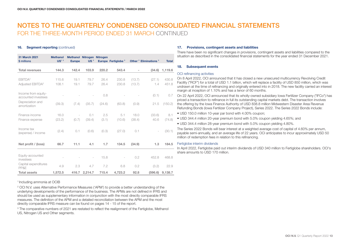#### 16. Seament reporting (continued)

| 31 March 2021<br>\$ millions                                   | <b>Methanol</b><br>$US1-3$ | Methanol Nitrogen Nitrogen<br><b>Europe</b> | US <sup>3</sup> |              | Europe Fertiglobe <sup>3</sup> |                          | Other <sup>3</sup> Eliminations <sup>3</sup> | <b>Total</b>   |
|----------------------------------------------------------------|----------------------------|---------------------------------------------|-----------------|--------------|--------------------------------|--------------------------|----------------------------------------------|----------------|
| <b>Total revenues</b>                                          | 144.3                      | 142.4                                       | 103.9           | 220.2        | 543.4                          | $\overline{\phantom{a}}$ | (34.6)                                       | 1,119.6        |
| EBITDA <sup>2</sup><br>Adjusted EBITDA <sup>2</sup>            | 115.6<br>108.1             | 19.1<br>19.1                                | 79.7<br>79.7    | 26.4<br>26.4 | 230.8<br>230.8                 | (13.7)<br>(13.7)         | (27.1)<br>1.4                                | 430.8<br>451.8 |
| Income from equity-<br>accounted investees<br>Depreciation and |                            |                                             |                 | 0.8          |                                |                          | (0.1)                                        | 0.7            |
| amortization                                                   | (39.3)                     | (7.4)                                       | (35.7)          | (24.6)       | (63.8)                         | (0.9)                    | 21.5                                         | (150.2)        |
| Finance income<br>Finance expense                              | 16.0<br>(23.2)             | $\overline{a}$<br>(0.7)                     | 0.1<br>(39.4)   | 2.5<br>(3.1) | 5.1<br>(10.6)                  | 18.0<br>(38.4)           | (33.6)<br>40.6                               | 8.1<br>(74.8)  |
| Income tax<br>(expense) / income                               | (2.4)                      | 0.1                                         | (0.6)           | (0.3)        | (27.0)                         | 0.1                      |                                              | (30.1)         |
| Net profit / (loss)                                            | 66.7                       | 11.1                                        | 4.1             | 1.7          | 134.5                          | (34.9)                   | 1.3                                          | 184.5          |
| Equity-accounted<br>investees                                  |                            |                                             | $\overline{a}$  | 15.8         |                                | 0.2                      | 452.8                                        | 468.8          |
| Capital expenditures<br>PP&E                                   | 4.9                        | 2.3                                         | 4.7             | 7.2          | 6.8                            | 0.2                      | (3.2)                                        | 22.9           |
| <b>Total assets</b>                                            | 1,572.5                    | 416.7                                       | 2,214.7         | 715.4        | 4,723.2                        | 92.8                     | (596.6)                                      | 9,138.7        |

#### 1 Including ammonia at OCIB

2 OCI N.V. uses Alternative Performance Measures ('APM') to provide a better understanding of the underlying developments of the performance of the business. The APMs are not defined in IFRS and should be used as supplementary information in conjunction with the most directly comparable IFRS measures. The definition of the APM and a detailed reconciliation between the APM and the most directly comparable IFRS measure can be found on pages 14 - 15 of the report.

<sup>3</sup> The comparative numbers of 2021 are restated to reflect the realignment of the Fertiglobe, Methanol US, Nitrogen US and Other segments.

#### 17. Provisions, contingent assets and liabilities

There have been no significant changes in provisions, contingent assets and liabilities compared to the situation as described in the consolidated financial statements for the year ended 31 December 2021.

#### 18. Subsequent events

#### OCI refinancing activities

On 8 April 2022, OCI announced that it has closed a new unsecured multicurrency Revolving Credit Facility ("RCF") for a total of USD 1.1 billion, which will replace a facility of USD 850 million, which was undrawn at the time of refinancing and originally entered into in 2018. The new facility carried an interest margin at inception of 1.10% and has a tenor of 60 months.

On 22 April 2022, OCI announced that its wholly-owned subsidiary Iowa Fertilizer Company ("IFCo") has priced a transaction to refinance in full its outstanding capital markets debt. The transaction involves the offering by the Iowa Finance Authority of USD 838.8 million Midwestern Disaster Area Revenue Refunding Bonds (Iowa Fertilizer Company Project), Series 2022. The Series 2022 Bonds include:

- USD 150.0 million 10-year par bond with 4.00% coupon;
- USD 344.4 million 20-year premium bond with 5.0% coupon yielding 4.65%; and
- USD 344.4 million 28-year premium bond with 5.0% coupon yielding 4.80%.

The Series 2022 Bonds will bear interest at a weighted average cost of capital of 4.60% per annum, payable semi-annually, and an average life of 22 years. OCI anticipates to incur approximately USD 50 million of redemption fees in relation to this refinancing.

#### Fertiglobe interim dividends

In April 2022, Fertiglobe paid out interim dividends of USD 340 million to Fertiglobe shareholders. OCI's share amounts to USD 170 million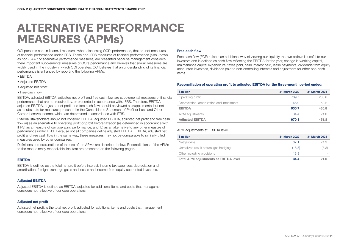## **ALTERNATIVE PERFORMANCE MEASURES (APMs)**

OCI presents certain financial measures when discussing OCI's performance, that are not measures of financial performance under IFRS. These non-IFRS measures of financial performance (also known as non-GAAP or alternative performance measures) are presented because management considers them important supplemental measures of OCI's performance and believes that similar measures are widely used in the industry in which OCI operates. OCI believes that an understanding of its financial performance is enhanced by reporting the following APMs:

- EBITDA
- Adjusted EBITDA
- Adjusted net profit
- Free cash flow

EBITDA, adjusted EBITDA, adjusted net profit and free cash flow are supplemental measures of financial performance that are not required by, or presented in accordance with, IFRS. Therefore, EBITDA, adjusted EBITDA, adjusted net profit and free cash flow should be viewed as supplemental but not as a substitute for measures presented in the Consolidated Statement of Profit or Loss and Other Comprehensive Income, which are determined in accordance with IFRS.

External stakeholders should not consider EBITDA, adjusted EBITDA, adjusted net profit and free cash flow (a) as an alternative to operating profit or profit before taxation (as determined in accordance with IFRS) as a measure of our operating performance, and (b) as an alternative to any other measure of performance under IFRS. Because not all companies define adjusted EBITDA, EBITDA, adjusted net profit and free cash flow in the same way, these measures may not be comparable to similarly titled measures used by other companies.

Definitions and explanations of the use of the APMs are described below. Reconciliations of the APMs to the most directly reconcilable line item are presented on the following pages.

#### EBITDA

EBITDA is defined as the total net profit before interest, income tax expenses, depreciation and amortization, foreign exchange gains and losses and income from equity accounted investees.

#### Adjusted EBITDA

Adjusted EBITDA is defined as EBITDA, adjusted for additional items and costs that management considers not reflective of our core operations.

#### Adjusted net profit

Adjusted net profit is the total net profit, adjusted for additional items and costs that management considers not reflective of our core operations.

#### Free cash flow

Free cash flow (FCF) reflects an additional way of viewing our liquidity that we believe is useful to our investors and is defined as cash flow reflecting the EBITDA for the year, change in working capital, maintenance capital expenditure, taxes paid, cash interest paid, lease payments, dividends from equity accounted investees, dividends paid to non-controlling interests and adjustment for other non-cash items.

#### Reconciliation of operating profit to adjusted EBITDA for the three-month period ended:

| \$ million                                | 31 March 2022 | 31 March 2021 |
|-------------------------------------------|---------------|---------------|
| Operating profit                          | 789.7         | 280.6         |
| Depreciation, amortization and impairment | 146.0         | 150.2         |
| <b>EBITDA</b>                             | 935.7         | 430.8         |
| APM adjustments                           | 34.4          | 21.0          |
| <b>Adjusted EBITDA</b>                    | 970.1         | 451.8         |

#### APM adjustments at EBITDA level

| \$ million                                   | 31 March 2022 | 31 March 2021 |
|----------------------------------------------|---------------|---------------|
| Natgasoline                                  | -37.1         | 24.3          |
| Unrealized result natural gas hedging        | (16.5)        | (3.3)         |
| Other including provisions                   | 13.8          |               |
| <b>Total APM adjustments at EBITDA level</b> | 34.4          | 21.0          |